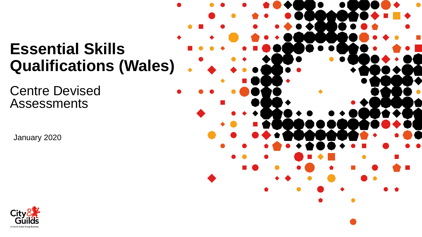# **Essential Skills Qualifications (Wales)**

Centre Devised Assessments

January 2020



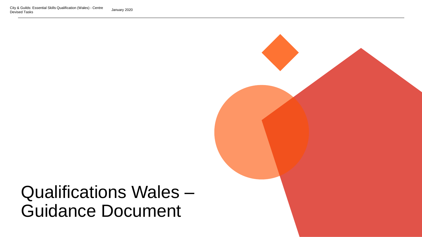

# Qualifications Wales – Guidance Document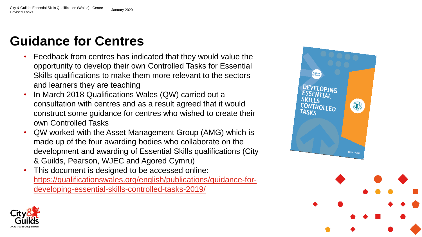# **Guidance for Centres**

- Feedback from centres has indicated that they would value the opportunity to develop their own Controlled Tasks for Essential Skills qualifications to make them more relevant to the sectors and learners they are teaching
- In March 2018 Qualifications Wales (QW) carried out a consultation with centres and as a result agreed that it would construct some guidance for centres who wished to create their own Controlled Tasks
- QW worked with the Asset Management Group (AMG) which is made up of the four awarding bodies who collaborate on the development and awarding of Essential Skills qualifications (City & Guilds, Pearson, WJEC and Agored Cymru)
- This document is designed to be accessed online: [https://qualificationswales.org/english/publications/guidance-for](https://qualificationswales.org/english/publications/guidance-for-developing-essential-skills-controlled-tasks-2019/)developing-essential-skills-controlled-tasks-2019/



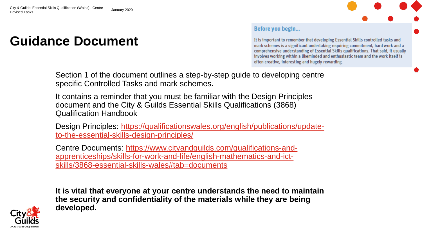## **Guidance Document**

#### Before you begin...

It is important to remember that developing Essential Skills controlled tasks and mark schemes is a significant undertaking requiring commitment, hard work and a comprehensive understanding of Essential Skills qualifications. That said, it usually involves working within a likeminded and enthusiastic team and the work itself is often creative, interesting and hugely rewarding.

Section 1 of the document outlines a step-by-step guide to developing centre specific Controlled Tasks and mark schemes.

It contains a reminder that you must be familiar with the Design Principles document and the City & Guilds Essential Skills Qualifications (3868) Qualification Handbook

[Design Principles: https://qualificationswales.org/english/publications/update](https://qualificationswales.org/english/publications/update-to-the-essential-skills-design-principles/)to-the-essential-skills-design-principles/

Centre Documents: https://www.cityandguilds.com/qualifications-and[apprenticeships/skills-for-work-and-life/english-mathematics-and-ict](https://www.cityandguilds.com/qualifications-and-apprenticeships/skills-for-work-and-life/english-mathematics-and-ict-skills/3868-essential-skills-wales#tab=documents)skills/3868-essential-skills-wales#tab=documents

**It is vital that everyone at your centre understands the need to maintain the security and confidentiality of the materials while they are being developed.**

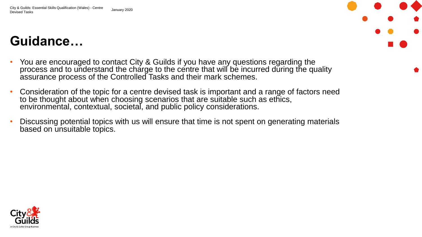# **Guidance…**

- You are encouraged to contact City & Guilds if you have any questions regarding the process and to understand the charge to the centre that will be incurred during the quality assurance process of the Controlled Tasks and their mark schemes.
- Consideration of the topic for a centre devised task is important and a range of factors need to be thought about when choosing scenarios that are suitable such as ethics, environmental, contextual, societal, and public policy considerations.
- Discussing potential topics with us will ensure that time is not spent on generating materials based on unsuitable topics.

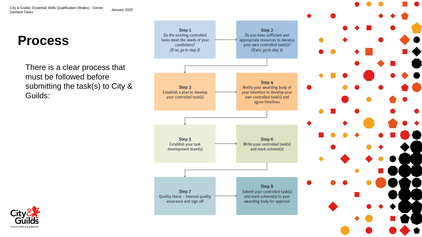### **Process**

There is a clear process that must be followed before submitting the task(s) to City & Guilds:



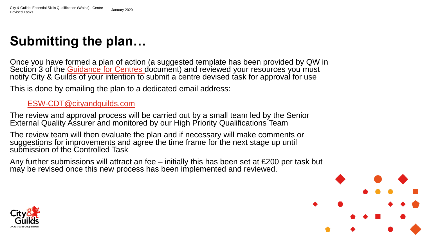# **Submitting the plan…**

Once you have formed a plan of action (a suggested template has been provided by QW in Section 3 of the [Guidance for Centres d](https://www.qualificationswales.org/english/publications/guidance-for-developing-essential-skills-controlled-tasks-2019/)ocument) and reviewed your resources you must notify City & Guilds of your intention to submit a centre devised task for approval for use

This is done by emailing the plan to a dedicated email address:

### [ESW-CDT@cityandguilds.com](mailto:ESW-CDT@cityandguilds.com)

The review and approval process will be carried out by a small team led by the Senior External Quality Assurer and monitored by our High Priority Qualifications Team

The review team will then evaluate the plan and if necessary will make comments or suggestions for improvements and agree the time frame for the next stage up until submission of the Controlled Task

Any further submissions will attract an fee – initially this has been set at £200 per task but may be revised once this new process has been implemented and reviewed.



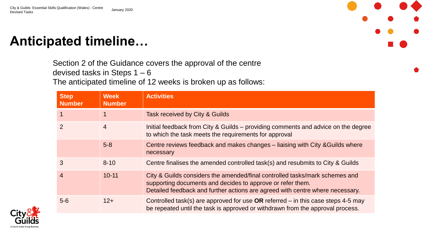## **Anticipated timeline…**

Section 2 of the Guidance covers the approval of the centre devised tasks in Steps 1 – 6 The anticipated timeline of 12 weeks is broken up as follows:

| <b>Step</b><br><b>Number</b> | <b>Week</b><br><b>Number</b> | <b>Activities</b>                                                                                                                                                                                                          |
|------------------------------|------------------------------|----------------------------------------------------------------------------------------------------------------------------------------------------------------------------------------------------------------------------|
| $\mathbf 1$                  |                              | Task received by City & Guilds                                                                                                                                                                                             |
| 2                            | 4                            | Initial feedback from City & Guilds - providing comments and advice on the degree<br>to which the task meets the requirements for approval                                                                                 |
|                              | $5 - 8$                      | Centre reviews feedback and makes changes – liaising with City & Guilds where<br>necessary                                                                                                                                 |
| 3                            | $8 - 10$                     | Centre finalises the amended controlled task(s) and resubmits to City & Guilds                                                                                                                                             |
| $\overline{4}$               | $10 - 11$                    | City & Guilds considers the amended/final controlled tasks/mark schemes and<br>supporting documents and decides to approve or refer them.<br>Detailed feedback and further actions are agreed with centre where necessary. |
| $5-6$                        | $12+$                        | Controlled task(s) are approved for use $OR$ referred – in this case steps 4-5 may<br>be repeated until the task is approved or withdrawn from the approval process.                                                       |

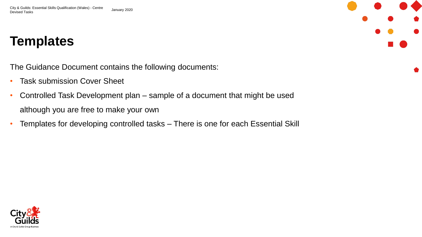## **Templates**

The Guidance Document contains the following documents:

- Task submission Cover Sheet
- Controlled Task Development plan sample of a document that might be used although you are free to make your own
- Templates for developing controlled tasks There is one for each Essential Skill